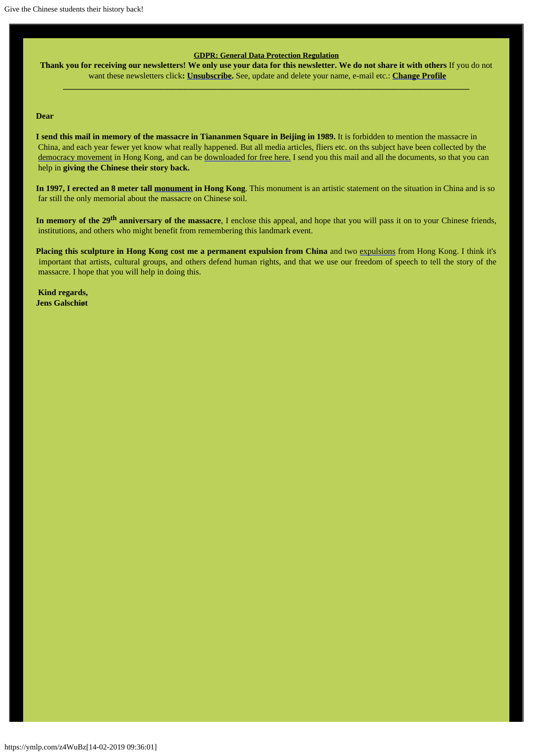### **GDPR: General Data Protection Regulation**

**Thank you for receiving our newsletters! We only use your data for this newsletter. We do not share it with others** If you do not want these newsletters click**: [Unsubscribe](https://ymlp.com/u.php?id=gbyqqyug).** See, update and delete your name, e-mail etc.: **[Change Profile](https://ymlp.com/u.php?id=gbyqqyug) \_\_\_\_\_\_\_\_\_\_\_\_\_\_\_\_\_\_\_\_\_\_\_\_\_\_\_\_\_\_\_\_\_\_\_\_\_\_\_\_\_\_\_\_\_\_\_\_\_\_\_\_\_\_\_\_\_\_\_\_\_\_\_\_\_\_\_\_\_\_\_\_\_\_\_\_\_\_\_\_\_\_\_\_\_\_\_\_\_\_\_\_\_\_\_\_\_**

#### **Dear**

**I send this mail in memory of the massacre in Tiananmen Square in Beijing in 1989.** It is forbidden to mention the massacre in China, and each year fewer yet know what really happened. But all media articles, fliers etc. on ths subject have been collected by the [democracy movement](http://en.wikipedia.org/wiki/Hong_Kong_Alliance_in_Support_of_Patriotic_Democratic_Movements_in_China) in Hong Kong, and can be [downloaded](http://www.aidoh.dk/?categoryID=183) [for free here.](http://www.aidoh.dk/?categoryID=183) I send you this mail and all the documents, so that you can help in **giving the Chinese their story back.**

**In 1997, I erected an 8 meter tall [monument](http://www.aidoh.dk/?categoryID=62) in Hong Kong**. This monument is an artistic statement on the situation in China and is so far still the only memorial about the massacre on Chinese soil.

In memory of the 29<sup>th</sup> anniversary of the massacre, I enclose this appeal, and hope that you will pass it on to your Chinese friends, institutions, and others who might benefit from remembering this landmark event.

**Placing this sculpture in Hong Kong cost me a permanent expulsion from China** and two [expulsions](http://www.aidoh.dk/?categoryID=283) from Hong Kong. I think it's important that artists, cultural groups, and others defend human rights, and that we use our freedom of speech to tell the story of the massacre. I hope that you will help in doing this.

**Kind regards, Jens Galschiøt**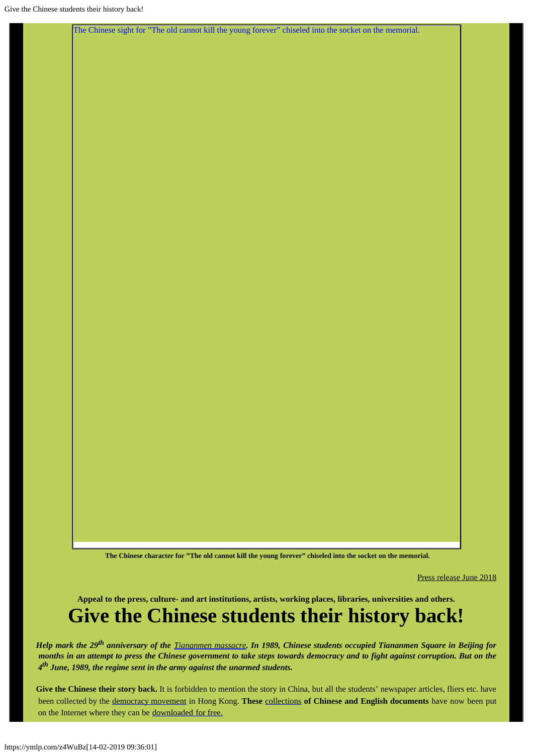[The Chinese sight for "The old cannot kill the young forever" chiseled into the socket on the memorial.](http://www.aidoh.dk/?categoryID=156)

**The Chinese character for "The old cannot kill the young forever" chiseled into the socket on the memorial.**

Press release June 2018

**Appeal to the press, culture- and art institutions, artists, working places, libraries, universities and others.**

# **Give the Chinese students their history back!**

*Help mark the 29th anniversary of the [Tiananmen massacre](http://en.wikipedia.org/wiki/Tiananmen_Square_protests_of_1989). In 1989, Chinese students occupied Tiananmen Square in Beijing for months in an attempt to press the Chinese government to take steps towards democracy and to fight against corruption. But on the 4th June, 1989, the regime sent in the army against the unarmed students.*

Give the Chinese their story back. It is forbidden to mention the story in China, but all the students' newspaper articles, fliers etc. have been collected by the [democracy movement](http://en.wikipedia.org/wiki/Hong_Kong_Alliance_in_Support_of_Patriotic_Democratic_Movements_in_China) in Hong Kong. **These** [collections](http://www.aidoh.dk/?categoryID=156) **of Chinese and English documents** have now been put on the Internet where they can be [downloaded](http://www.aidoh.dk/?categoryID=183) [for free.](http://www.aidoh.dk/?categoryID=183)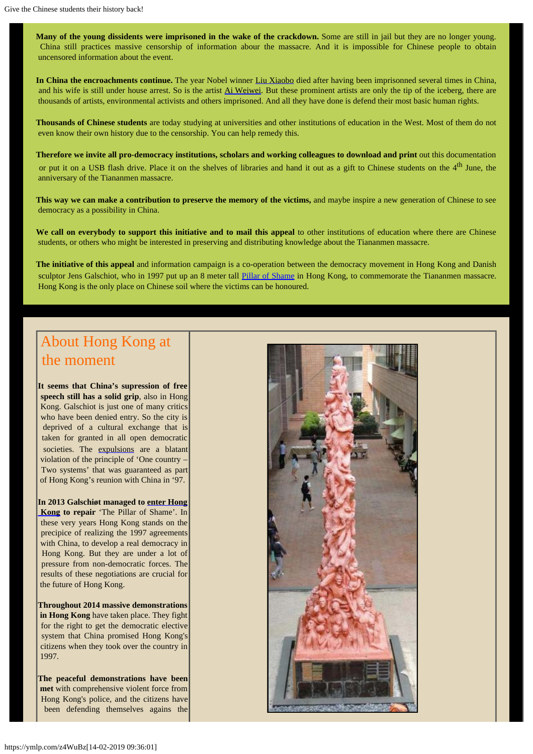**Many of the young dissidents were imprisoned in the wake of the crackdown.** Some are still in jail but they are no longer young. China still practices massive censorship of information abour the massacre. And it is impossible for Chinese people to obtain uncensored information about the event.

**In China the encroachments continue.** The year Nobel winner [Liu Xiaobo](http://www.aidoh.dk/?categoryID=344) died after having been imprisonned several times in China, and his wife is still under house arrest. So is the artist [Ai Weiwei](http://www.aidoh.dk/?categoryID=358t). But these prominent artists are only the tip of the iceberg, there are thousands of artists, environmental activists and others imprisoned. And all they have done is defend their most basic human rights.

**Thousands of Chinese students** are today studying at universities and other institutions of education in the West. Most of them do not even know their own history due to the censorship. You can help remedy this.

**Therefore we invite all pro-democracy institutions, scholars and working colleagues to download and print** out this documentation or put it on a USB flash drive. Place it on the shelves of libraries and hand it out as a gift to Chinese students on the  $4<sup>th</sup>$  June, the anniversary of the Tiananmen massacre.

**This way we can make a contribution to preserve the memory of the victims,** and maybe inspire a new generation of Chinese to see democracy as a possibility in China.

**We call on everybody to support this initiative and to mail this appeal** to other institutions of education where there are Chinese students, or others who might be interested in preserving and distributing knowledge about the Tiananmen massacre.

**The initiative of this appeal** and information campaign is a co-operation between the democracy movement in Hong Kong and Danish sculptor Jens Galschiot, who in 1997 put up an 8 meter tall [Pillar of Shame](http://www.aidoh.dk/?categoryID=62) in Hong Kong, to commemorate the Tiananmen massacre. Hong Kong is the only place on Chinese soil where the victims can be honoured.

## About Hong Kong at the moment

**It seems that China's supression of free speech still has a solid grip**, also in Hong Kong. Galschiot is just one of many critics who have been denied entry. So the city is deprived of a cultural exchange that is taken for granted in all open democratic societies. The [expulsions](http://www.aidoh.dk/?categoryID=283) are a blatant violation of the principle of 'One country – Two systems' that was guaranteed as part of Hong Kong's reunion with China in '97.

**In 2013 Galschiøt managed to [enter Hong](http://www.aidoh.dk/?categoryID=436)  [Kong](http://www.aidoh.dk/?categoryID=436) to repair** 'The Pillar of Shame'. In these very years Hong Kong stands on the precipice of realizing the 1997 agreements with China, to develop a real democracy in Hong Kong. But they are under a lot of pressure from non-democratic forces. The results of these negotiations are crucial for the future of Hong Kong.

**Throughout 2014 massive demonstrations in Hong Kong** have taken place. They fight for the right to get the democratic elective system that China promised Hong Kong's citizens when they took over the country in 1997.

**The peaceful demonstrations have been met** with comprehensive violent force from Hong Kong's police, and the citizens have been defending themselves agains the

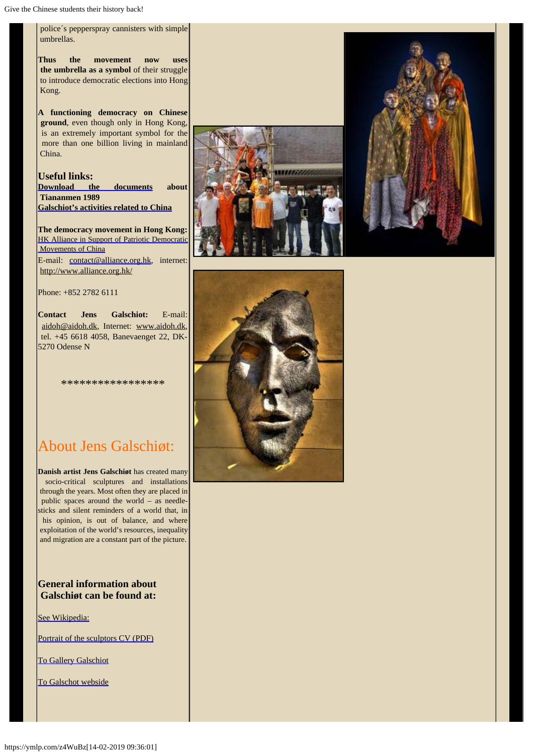police´s pepperspray cannisters with simple umbrellas.

**Thus the movement now uses the umbrella as a symbol** of their struggle to introduce democratic elections into Hong Kong.

**A functioning democracy on Chinese ground**, even though only in Hong Kong, is an extremely important symbol for the more than one billion living in mainland China.

**Useful links: [Download the documents](http://www.aidoh.dk/?categoryID=156) about Tiananmen 1989 [Galschiot's activities related to China](http://www.aidoh.dk/?categoryID=357)**

**The democracy movement in Hong Kong:** [HK Alliance in Support of Patriotic Democratic](https://hka8964.wordpress.com/hkaeng/) Movements of China E-mail: [contact@alliance.org.hk](mailto:contact@alliance.org.hk), internet: <http://www.alliance.org.hk/>

Phone: +852 2782 6111

**Contact Jens Galschiot:** E-mail: [aidoh@aidoh.dk](mailto:aidoh@aidoh.dk), Internet: [www.aidoh.dk](http://www.aidoh.dk/), tel. +45 6618 4058, Banevaenget 22, DK-5270 Odense N

\*\*\*\*\*\*\*\*\*\*\*\*\*\*\*\*\*

# About Jens Galschiøt:

**Danish artist Jens Galschiøt** has created many socio-critical sculptures and installations through the years. Most often they are placed in public spaces around the world – as needlesticks and silent reminders of a world that, in his opinion, is out of balance, and where exploitation of the world's resources, inequality and migration are a constant part of the picture.

### **General information about Galschiøt can be found at:**

[See Wikipedia:](http://en.wikipedia.org/wiki/Galschi%C3%B8t)

[Portrait of the sculptors CV \(PDF\)](http://www.aidoh.dk/new-struct/About-Jens-Galschiot/CV.pdf)

[To Gallery Galschiot](http://www.gallerigalschiot.dk/index_en.html)

[To Galschot webside](http://www.galschiot.com/)